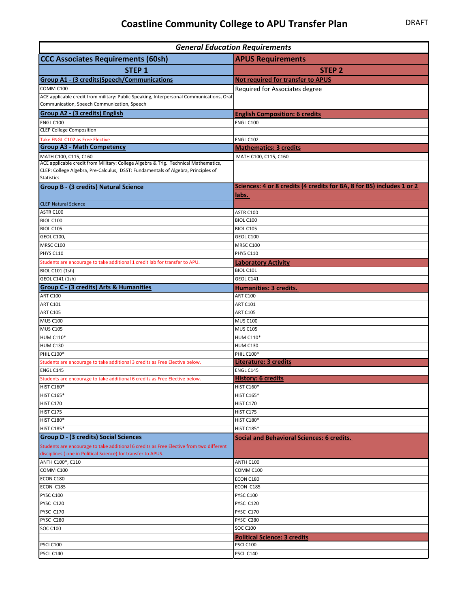## **Coastline Community College to APU Transfer Plan** DRAFT

| <b>General Education Requirements</b>                                                                                                                                    |                                                                       |
|--------------------------------------------------------------------------------------------------------------------------------------------------------------------------|-----------------------------------------------------------------------|
| <b>CCC Associates Requirements (60sh)</b>                                                                                                                                | <b>APUS Requirements</b>                                              |
| STEP <sub>1</sub>                                                                                                                                                        | <b>STEP 2</b>                                                         |
| <b>Group A1 - (3 credits)Speech/Communications</b>                                                                                                                       | <b>Not required for transfer to APUS</b>                              |
| COMM C100                                                                                                                                                                | Required for Associates degree                                        |
| ACE applicable credit from military: Public Speaking, Interpersonal Communications, Oral                                                                                 |                                                                       |
| Communication, Speech Communication, Speech                                                                                                                              |                                                                       |
| <b>Group A2 - (3 credits) English</b>                                                                                                                                    | <b>English Composition: 6 credits</b>                                 |
| ENGL C100                                                                                                                                                                | <b>ENGL C100</b>                                                      |
| <b>CLEP College Composition</b>                                                                                                                                          |                                                                       |
| Take ENGL C102 as Free Elective                                                                                                                                          | <b>ENGL C102</b>                                                      |
| <b>Group A3 - Math Competency</b>                                                                                                                                        | <b>Mathematics: 3 credits</b>                                         |
| MATH C100, C115, C160                                                                                                                                                    | MATH C100, C115, C160                                                 |
| ACE applicable credit from Military: College Algebra & Trig. Technical Mathematics,<br>CLEP: College Algebra, Pre-Calculus, DSST: Fundamentals of Algebra, Principles of |                                                                       |
| <b>Statistics</b>                                                                                                                                                        |                                                                       |
| <b>Group B - (3 credits) Natural Science</b>                                                                                                                             | Sciences: 4 or 8 credits (4 credits for BA, 8 for BS) includes 1 or 2 |
|                                                                                                                                                                          | <u>labs.</u>                                                          |
| <b>CLEP Natural Science</b>                                                                                                                                              |                                                                       |
| ASTR C100                                                                                                                                                                | ASTR C100                                                             |
| BIOL C100                                                                                                                                                                | BIOL C100                                                             |
| BIOL C105                                                                                                                                                                | <b>BIOL C105</b>                                                      |
| <b>GEOL C100,</b>                                                                                                                                                        | GEOL C100                                                             |
| MRSC C100                                                                                                                                                                | <b>MRSC C100</b>                                                      |
| PHYS C110                                                                                                                                                                | <b>PHYS C110</b>                                                      |
| Students are encourage to take additional 1 credit lab for transfer to APU.                                                                                              | <b>Laboratory Activity</b>                                            |
| BIOL C101 (1sh)                                                                                                                                                          | <b>BIOL C101</b>                                                      |
| GEOL C141 (1sh)                                                                                                                                                          | GEOL C141                                                             |
| <b>Group C - (3 credits) Arts &amp; Humanities</b>                                                                                                                       | <b>Humanities: 3 credits.</b>                                         |
| <b>ART C100</b>                                                                                                                                                          | <b>ART C100</b>                                                       |
| <b>ART C101</b>                                                                                                                                                          | <b>ART C101</b>                                                       |
| <b>ART C105</b>                                                                                                                                                          | <b>ART C105</b>                                                       |
| <b>MUS C100</b>                                                                                                                                                          | <b>MUS C100</b>                                                       |
| <b>MUS C105</b><br><b>HUM C110*</b>                                                                                                                                      | <b>MUS C105</b><br><b>HUM C110*</b>                                   |
| <b>HUM C130</b>                                                                                                                                                          | <b>HUM C130</b>                                                       |
| PHIL C100*                                                                                                                                                               | <b>PHIL C100*</b>                                                     |
| Students are encourage to take additional 3 credits as Free Elective below.                                                                                              | <b>Literature: 3 credits</b>                                          |
| ENGL C145                                                                                                                                                                | ENGL C145                                                             |
| Students are encourage to take additional 6 credits as Free Elective below.                                                                                              | <b>History: 6 credits</b>                                             |
| <b>HIST C160*</b>                                                                                                                                                        | <b>HIST C160*</b>                                                     |
| <b>HIST C165*</b>                                                                                                                                                        | <b>HIST C165*</b>                                                     |
| HIST C170                                                                                                                                                                | <b>HIST C170</b>                                                      |
| HIST C175                                                                                                                                                                | HIST C175                                                             |
| <b>HIST C180*</b>                                                                                                                                                        | <b>HIST C180*</b>                                                     |
| HIST C185*                                                                                                                                                               | <b>HIST C185*</b>                                                     |
| <b>Group D - (3 credits) Social Sciences</b>                                                                                                                             | <b>Social and Behavioral Sciences: 6 credits.</b>                     |
| Students are encourage to take additional 6 credits as Free Elective from two different                                                                                  |                                                                       |
| disciplines (one in Political Science) for transfer to APUS.                                                                                                             |                                                                       |
| ANTH C100*, C110                                                                                                                                                         | ANTH C100                                                             |
| COMM C100                                                                                                                                                                | COMM C100                                                             |
| ECON C180                                                                                                                                                                | ECON C180                                                             |
| ECON C185                                                                                                                                                                | ECON C185                                                             |
| PYSC C100<br>PYSC C120                                                                                                                                                   | <b>PYSC C100</b><br>PYSC C120                                         |
| PYSC C170                                                                                                                                                                | PYSC C170                                                             |
| PYSC C280                                                                                                                                                                | PYSC C280                                                             |
| <b>SOC C100</b>                                                                                                                                                          | <b>SOC C100</b>                                                       |
|                                                                                                                                                                          | <b>Political Science: 3 credits</b>                                   |
| PSCI C100                                                                                                                                                                | <b>PSCI C100</b>                                                      |
| PSCI C140                                                                                                                                                                | PSCI C140                                                             |